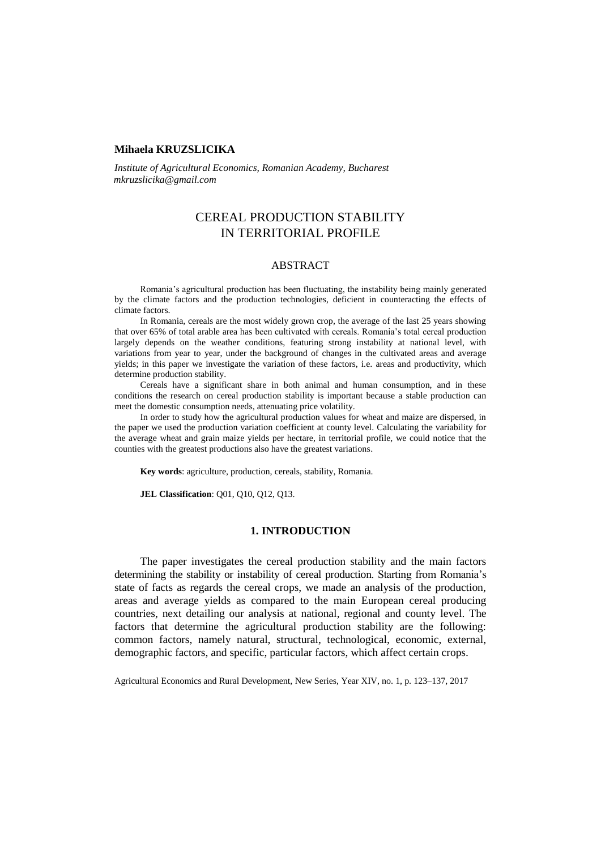## **Mihaela KRUZSLICIKA**

*Institute of Agricultural Economics, Romanian Academy, Bucharest mkruzslicika@gmail.com*

# CEREAL PRODUCTION STABILITY IN TERRITORIAL PROFILE

## ABSTRACT

Romania's agricultural production has been fluctuating, the instability being mainly generated by the climate factors and the production technologies, deficient in counteracting the effects of climate factors.

In Romania, cereals are the most widely grown crop, the average of the last 25 years showing that over 65% of total arable area has been cultivated with cereals. Romania's total cereal production largely depends on the weather conditions, featuring strong instability at national level, with variations from year to year, under the background of changes in the cultivated areas and average yields; in this paper we investigate the variation of these factors, i.e. areas and productivity, which determine production stability.

Cereals have a significant share in both animal and human consumption, and in these conditions the research on cereal production stability is important because a stable production can meet the domestic consumption needs, attenuating price volatility.

In order to study how the agricultural production values for wheat and maize are dispersed, in the paper we used the production variation coefficient at county level. Calculating the variability for the average wheat and grain maize yields per hectare, in territorial profile, we could notice that the counties with the greatest productions also have the greatest variations.

**Key words**: agriculture, production, cereals, stability, Romania.

**JEL Classification**: Q01, Q10, Q12, Q13.

## **1. INTRODUCTION**

The paper investigates the cereal production stability and the main factors determining the stability or instability of cereal production. Starting from Romania's state of facts as regards the cereal crops, we made an analysis of the production, areas and average yields as compared to the main European cereal producing countries, next detailing our analysis at national, regional and county level. The factors that determine the agricultural production stability are the following: common factors, namely natural, structural, technological, economic, external, demographic factors, and specific, particular factors, which affect certain crops.

Agricultural Economics and Rural Development, New Series, Year XIV, no. 1, p. 123–137, 2017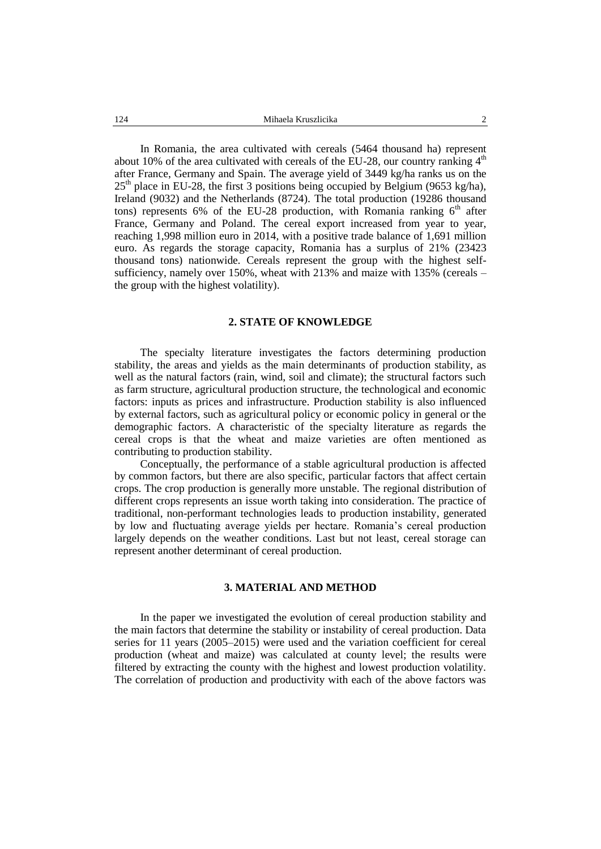In Romania, the area cultivated with cereals (5464 thousand ha) represent about 10% of the area cultivated with cereals of the EU-28, our country ranking  $4<sup>th</sup>$ after France, Germany and Spain. The average yield of 3449 kg/ha ranks us on the  $25<sup>th</sup>$  place in EU-28, the first 3 positions being occupied by Belgium (9653 kg/ha), Ireland (9032) and the Netherlands (8724). The total production (19286 thousand tons) represents 6% of the EU-28 production, with Romania ranking  $6<sup>th</sup>$  after France, Germany and Poland. The cereal export increased from year to year, reaching 1,998 million euro in 2014, with a positive trade balance of 1,691 million euro. As regards the storage capacity, Romania has a surplus of 21% (23423 thousand tons) nationwide. Cereals represent the group with the highest selfsufficiency, namely over 150%, wheat with 213% and maize with 135% (cereals – the group with the highest volatility).

## **2. STATE OF KNOWLEDGE**

The specialty literature investigates the factors determining production stability, the areas and yields as the main determinants of production stability, as well as the natural factors (rain, wind, soil and climate); the structural factors such as farm structure, agricultural production structure, the technological and economic factors: inputs as prices and infrastructure. Production stability is also influenced by external factors, such as agricultural policy or economic policy in general or the demographic factors. A characteristic of the specialty literature as regards the cereal crops is that the wheat and maize varieties are often mentioned as contributing to production stability.

Conceptually, the performance of a stable agricultural production is affected by common factors, but there are also specific, particular factors that affect certain crops. The crop production is generally more unstable. The regional distribution of different crops represents an issue worth taking into consideration. The practice of traditional, non-performant technologies leads to production instability, generated by low and fluctuating average yields per hectare. Romania's cereal production largely depends on the weather conditions. Last but not least, cereal storage can represent another determinant of cereal production.

## **3. MATERIAL AND METHOD**

In the paper we investigated the evolution of cereal production stability and the main factors that determine the stability or instability of cereal production. Data series for 11 years (2005–2015) were used and the variation coefficient for cereal production (wheat and maize) was calculated at county level; the results were filtered by extracting the county with the highest and lowest production volatility. The correlation of production and productivity with each of the above factors was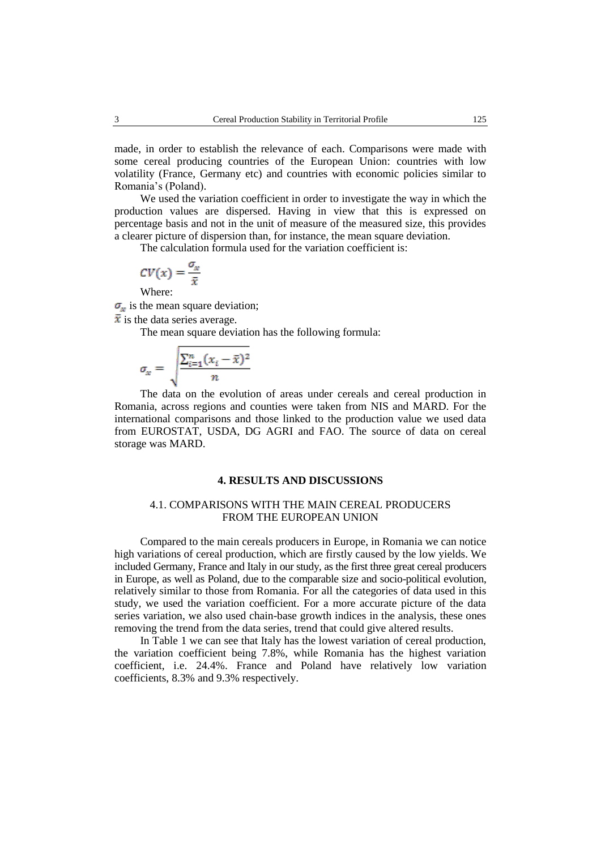made, in order to establish the relevance of each. Comparisons were made with some cereal producing countries of the European Union: countries with low volatility (France, Germany etc) and countries with economic policies similar to Romania's (Poland).

We used the variation coefficient in order to investigate the way in which the production values are dispersed. Having in view that this is expressed on percentage basis and not in the unit of measure of the measured size, this provides a clearer picture of dispersion than, for instance, the mean square deviation.

The calculation formula used for the variation coefficient is:

$$
CV(x) = \frac{\sigma_x}{\bar{x}}
$$

Where:

 $\sigma_x$  is the mean square deviation;

 $\bar{x}$  is the data series average.

The mean square deviation has the following formula:

$$
\sigma_x = \sqrt{\frac{\sum_{i=1}^n (x_i - \bar{x})^2}{n}}
$$

The data on the evolution of areas under cereals and cereal production in Romania, across regions and counties were taken from NIS and MARD. For the international comparisons and those linked to the production value we used data from EUROSTAT, USDA, DG AGRI and FAO. The source of data on cereal storage was MARD.

## **4. RESULTS AND DISCUSSIONS**

## 4.1. COMPARISONS WITH THE MAIN CEREAL PRODUCERS FROM THE EUROPEAN UNION

Compared to the main cereals producers in Europe, in Romania we can notice high variations of cereal production, which are firstly caused by the low yields. We included Germany, France and Italy in our study, as the first three great cereal producers in Europe, as well as Poland, due to the comparable size and socio-political evolution, relatively similar to those from Romania. For all the categories of data used in this study, we used the variation coefficient. For a more accurate picture of the data series variation, we also used chain-base growth indices in the analysis, these ones removing the trend from the data series, trend that could give altered results.

In Table 1 we can see that Italy has the lowest variation of cereal production, the variation coefficient being 7.8%, while Romania has the highest variation coefficient, i.e. 24.4%. France and Poland have relatively low variation coefficients, 8.3% and 9.3% respectively.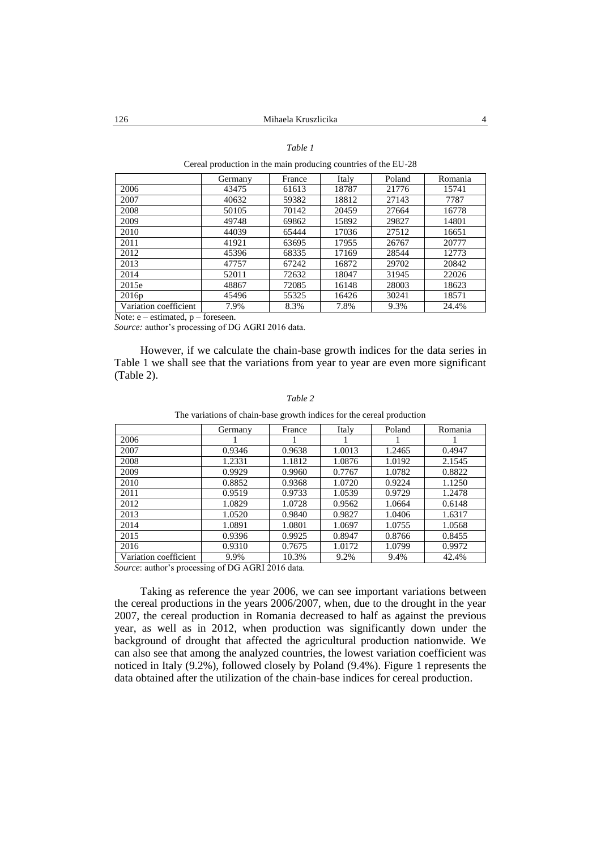### *Table 1*

Cereal production in the main producing countries of the EU-28

|                       | Germany | France | Italy | Poland | Romania |
|-----------------------|---------|--------|-------|--------|---------|
| 2006                  | 43475   | 61613  | 18787 | 21776  | 15741   |
| 2007                  | 40632   | 59382  | 18812 | 27143  | 7787    |
| 2008                  | 50105   | 70142  | 20459 | 27664  | 16778   |
| 2009                  | 49748   | 69862  | 15892 | 29827  | 14801   |
| 2010                  | 44039   | 65444  | 17036 | 27512  | 16651   |
| 2011                  | 41921   | 63695  | 17955 | 26767  | 20777   |
| 2012                  | 45396   | 68335  | 17169 | 28544  | 12773   |
| 2013                  | 47757   | 67242  | 16872 | 29702  | 20842   |
| 2014                  | 52011   | 72632  | 18047 | 31945  | 22026   |
| 2015e                 | 48867   | 72085  | 16148 | 28003  | 18623   |
| 2016p                 | 45496   | 55325  | 16426 | 30241  | 18571   |
| Variation coefficient | 7.9%    | 8.3%   | 7.8%  | 9.3%   | 24.4%   |

Note:  $e$  – estimated,  $p$  – foreseen.

*Source:* author's processing of DG AGRI 2016 data.

However, if we calculate the chain-base growth indices for the data series in Table 1 we shall see that the variations from year to year are even more significant (Table 2).

#### *Table 2*

The variations of chain-base growth indices for the cereal production

|                                                  | Germany | France | Italy  | Poland | Romania |  |  |  |  |
|--------------------------------------------------|---------|--------|--------|--------|---------|--|--|--|--|
| 2006                                             |         |        |        |        |         |  |  |  |  |
| 2007                                             | 0.9346  | 0.9638 | 1.0013 | 1.2465 | 0.4947  |  |  |  |  |
| 2008                                             | 1.2331  | 1.1812 | 1.0876 | 1.0192 | 2.1545  |  |  |  |  |
| 2009                                             | 0.9929  | 0.9960 | 0.7767 | 1.0782 | 0.8822  |  |  |  |  |
| 2010                                             | 0.8852  | 0.9368 | 1.0720 | 0.9224 | 1.1250  |  |  |  |  |
| 2011                                             | 0.9519  | 0.9733 | 1.0539 | 0.9729 | 1.2478  |  |  |  |  |
| 2012                                             | 1.0829  | 1.0728 | 0.9562 | 1.0664 | 0.6148  |  |  |  |  |
| 2013                                             | 1.0520  | 0.9840 | 0.9827 | 1.0406 | 1.6317  |  |  |  |  |
| 2014                                             | 1.0891  | 1.0801 | 1.0697 | 1.0755 | 1.0568  |  |  |  |  |
| 2015                                             | 0.9396  | 0.9925 | 0.8947 | 0.8766 | 0.8455  |  |  |  |  |
| 2016                                             | 0.9310  | 0.7675 | 1.0172 | 1.0799 | 0.9972  |  |  |  |  |
| Variation coefficient                            | 9.9%    | 10.3%  | 9.2%   | 9.4%   | 42.4%   |  |  |  |  |
| Source: author's processing of DG AGRI 2016 data |         |        |        |        |         |  |  |  |  |

*Source*: author's processing of DG AGRI 2016 data.

Taking as reference the year 2006, we can see important variations between the cereal productions in the years 2006/2007, when, due to the drought in the year 2007, the cereal production in Romania decreased to half as against the previous year, as well as in 2012, when production was significantly down under the background of drought that affected the agricultural production nationwide. We can also see that among the analyzed countries, the lowest variation coefficient was noticed in Italy (9.2%), followed closely by Poland (9.4%). Figure 1 represents the data obtained after the utilization of the chain-base indices for cereal production.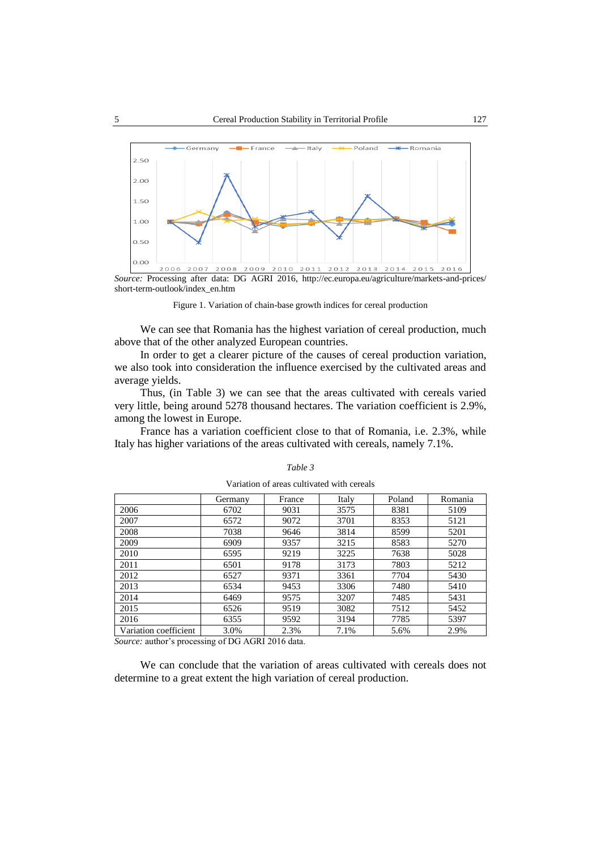

short-term-outlook/index\_en.htm

Figure 1. Variation of chain-base growth indices for cereal production

We can see that Romania has the highest variation of cereal production, much above that of the other analyzed European countries.

In order to get a clearer picture of the causes of cereal production variation, we also took into consideration the influence exercised by the cultivated areas and average yields.

Thus, (in Table 3) we can see that the areas cultivated with cereals varied very little, being around 5278 thousand hectares. The variation coefficient is 2.9%, among the lowest in Europe.

France has a variation coefficient close to that of Romania, i.e. 2.3%, while Italy has higher variations of the areas cultivated with cereals, namely 7.1%.

|                       | Germany | France | Italy | Poland | Romania |
|-----------------------|---------|--------|-------|--------|---------|
| 2006                  | 6702    | 9031   | 3575  | 8381   | 5109    |
| 2007                  | 6572    | 9072   | 3701  | 8353   | 5121    |
| 2008                  | 7038    | 9646   | 3814  | 8599   | 5201    |
| 2009                  | 6909    | 9357   | 3215  | 8583   | 5270    |
| 2010                  | 6595    | 9219   | 3225  | 7638   | 5028    |
| 2011                  | 6501    | 9178   | 3173  | 7803   | 5212    |
| 2012                  | 6527    | 9371   | 3361  | 7704   | 5430    |
| 2013                  | 6534    | 9453   | 3306  | 7480   | 5410    |
| 2014                  | 6469    | 9575   | 3207  | 7485   | 5431    |
| 2015                  | 6526    | 9519   | 3082  | 7512   | 5452    |
| 2016                  | 6355    | 9592   | 3194  | 7785   | 5397    |
| Variation coefficient | 3.0%    | 2.3%   | 7.1%  | 5.6%   | 2.9%    |

*Table 3* Variation of areas cultivated with cereals

*Source:* author's processing of DG AGRI 2016 data.

We can conclude that the variation of areas cultivated with cereals does not determine to a great extent the high variation of cereal production.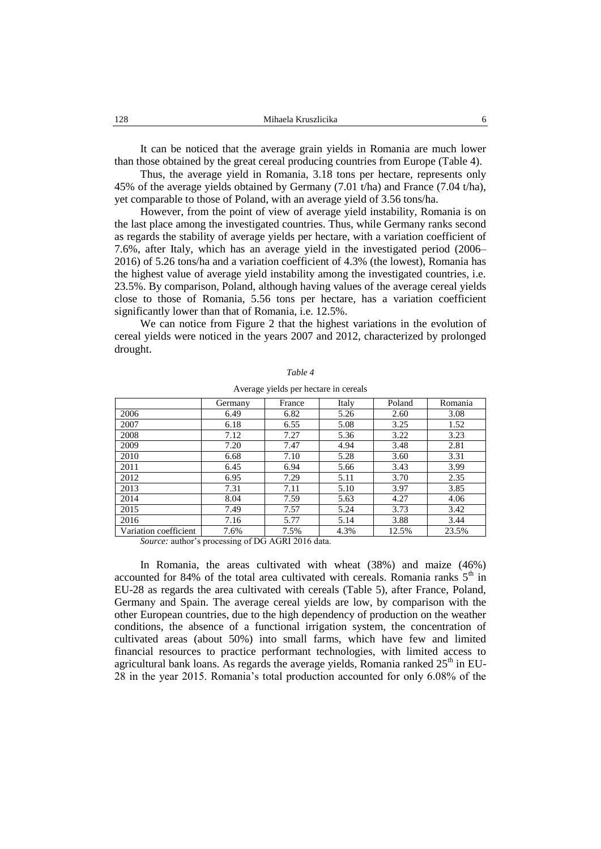It can be noticed that the average grain yields in Romania are much lower than those obtained by the great cereal producing countries from Europe (Table 4).

Thus, the average yield in Romania, 3.18 tons per hectare, represents only 45% of the average yields obtained by Germany (7.01 t/ha) and France (7.04 t/ha), yet comparable to those of Poland, with an average yield of 3.56 tons/ha.

However, from the point of view of average yield instability, Romania is on the last place among the investigated countries. Thus, while Germany ranks second as regards the stability of average yields per hectare, with a variation coefficient of 7.6%, after Italy, which has an average yield in the investigated period (2006– 2016) of 5.26 tons/ha and a variation coefficient of 4.3% (the lowest), Romania has the highest value of average yield instability among the investigated countries, i.e. 23.5%. By comparison, Poland, although having values of the average cereal yields close to those of Romania, 5.56 tons per hectare, has a variation coefficient significantly lower than that of Romania, i.e. 12.5%.

We can notice from Figure 2 that the highest variations in the evolution of cereal yields were noticed in the years 2007 and 2012, characterized by prolonged drought.

|                       | Germany | France | Italy | Poland | Romania |
|-----------------------|---------|--------|-------|--------|---------|
| 2006                  | 6.49    | 6.82   | 5.26  | 2.60   | 3.08    |
| 2007                  | 6.18    | 6.55   | 5.08  | 3.25   | 1.52    |
| 2008                  | 7.12    | 7.27   | 5.36  | 3.22   | 3.23    |
| 2009                  | 7.20    | 7.47   | 4.94  | 3.48   | 2.81    |
| 2010                  | 6.68    | 7.10   | 5.28  | 3.60   | 3.31    |
| 2011                  | 6.45    | 6.94   | 5.66  | 3.43   | 3.99    |
| 2012                  | 6.95    | 7.29   | 5.11  | 3.70   | 2.35    |
| 2013                  | 7.31    | 7.11   | 5.10  | 3.97   | 3.85    |
| 2014                  | 8.04    | 7.59   | 5.63  | 4.27   | 4.06    |
| 2015                  | 7.49    | 7.57   | 5.24  | 3.73   | 3.42    |
| 2016                  | 7.16    | 5.77   | 5.14  | 3.88   | 3.44    |
| Variation coefficient | 7.6%    | 7.5%   | 4.3%  | 12.5%  | 23.5%   |

*Table 4*

Average yields per hectare in cereals

*Source:* author's processing of DG AGRI 2016 data.

In Romania, the areas cultivated with wheat (38%) and maize (46%) accounted for 84% of the total area cultivated with cereals. Romania ranks  $5<sup>th</sup>$  in EU-28 as regards the area cultivated with cereals (Table 5), after France, Poland, Germany and Spain. The average cereal yields are low, by comparison with the other European countries, due to the high dependency of production on the weather conditions, the absence of a functional irrigation system, the concentration of cultivated areas (about 50%) into small farms, which have few and limited financial resources to practice performant technologies, with limited access to agricultural bank loans. As regards the average yields, Romania ranked  $25<sup>th</sup>$  in EU-28 in the year 2015. Romania's total production accounted for only 6.08% of the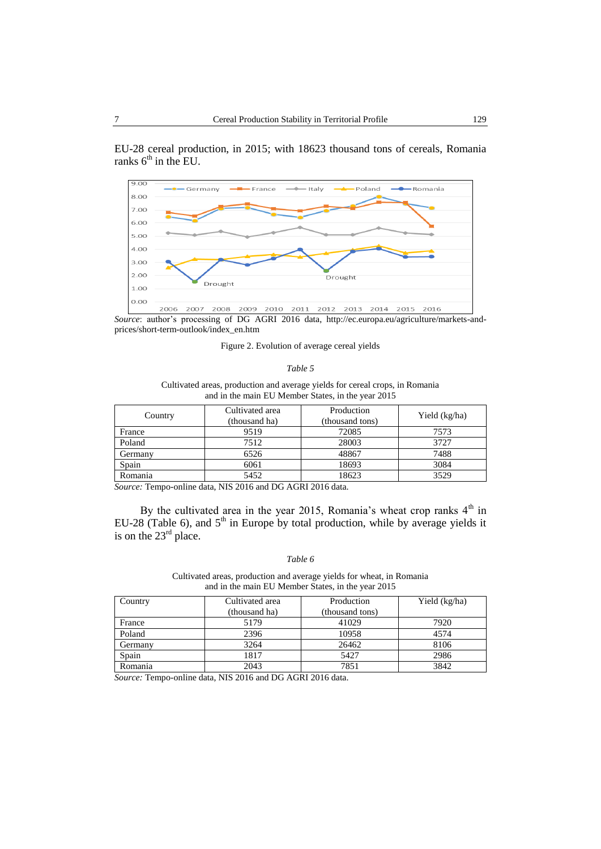EU-28 cereal production, in 2015; with 18623 thousand tons of cereals, Romania ranks  $6<sup>th</sup>$  in the EU.



*Source*: author's processing of DG AGRI 2016 data, http://ec.europa.eu/agriculture/markets-andprices/short-term-outlook/index\_en.htm

### Figure 2. Evolution of average cereal yields

### *Table 5*

Cultivated areas, production and average yields for cereal crops, in Romania and in the main EU Member States, in the year 2015

| Country | Cultivated area<br>(thousand ha) | Production<br>(thousand tons) | Yield (kg/ha) |
|---------|----------------------------------|-------------------------------|---------------|
| France  | 9519                             | 72085                         | 7573          |
| Poland  | 7512                             | 28003                         | 3727          |
| Germany | 6526                             | 48867                         | 7488          |
| Spain   | 6061                             | 18693                         | 3084          |
| Romania | 5452                             | 18623                         | 3529          |

*Source:* Tempo-online data, NIS 2016 and DG AGRI 2016 data.

By the cultivated area in the year 2015, Romania's wheat crop ranks  $4<sup>th</sup>$  in EU-28 (Table 6), and  $5<sup>th</sup>$  in Europe by total production, while by average yields it is on the  $23<sup>rd</sup>$  place.

### *Table 6*

Cultivated areas, production and average yields for wheat, in Romania and in the main EU Member States, in the year 2015

| Country | Cultivated area | Production      | Yield (kg/ha) |
|---------|-----------------|-----------------|---------------|
|         | (thousand ha)   | (thousand tons) |               |
| France  | 5179            | 41029           | 7920          |
| Poland  | 2396            | 10958           | 4574          |
| Germany | 3264            | 26462           | 8106          |
| Spain   | 1817            | 5427            | 2986          |
| Romania | 2043            | 7851            | 3842          |

*Source:* Tempo-online data, NIS 2016 and DG AGRI 2016 data.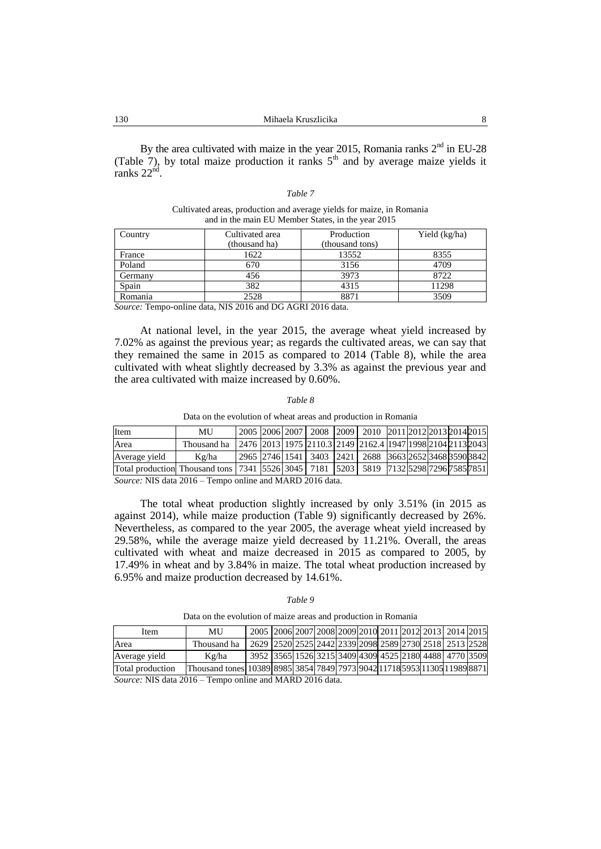By the area cultivated with maize in the year 2015, Romania ranks  $2<sup>nd</sup>$  in EU-28 (Table 7), by total maize production it ranks  $5<sup>th</sup>$  and by average maize yields it ranks  $22<sup>nd</sup>$ .

Cultivated areas, production and average yields for maize, in Romania and in the main EU Member States, in the year 2015

| Country | Cultivated area | Production      | Yield (kg/ha) |
|---------|-----------------|-----------------|---------------|
|         | (thousand ha)   | (thousand tons) |               |
| France  | 1622            | 13552           | 8355          |
| Poland  | 670             | 3156            | 4709          |
| Germany | 456             | 3973            | 8722          |
| Spain   | 382             | 4315            | 11298         |
| Romania | 2528            | 8871            | 3509          |

*Source:* Tempo-online data, NIS 2016 and DG AGRI 2016 data.

At national level, in the year 2015, the average wheat yield increased by 7.02% as against the previous year; as regards the cultivated areas, we can say that they remained the same in 2015 as compared to 2014 (Table 8), while the area cultivated with wheat slightly decreased by 3.3% as against the previous year and the area cultivated with maize increased by 0.60%.

#### *Table 8*

Data on the evolution of wheat areas and production in Romania

| Item                                                                                  | MU          |  |  | 2005   2006   2007   2008   2009   2010   2011   2012   2013   2014   2015 |  |  |  |
|---------------------------------------------------------------------------------------|-------------|--|--|----------------------------------------------------------------------------|--|--|--|
| Area                                                                                  | Thousand ha |  |  | 2476 2013 1975 2110.3 2149 2162.4 1947 1998 2104 2113 2043                 |  |  |  |
| Average vield                                                                         | Kg/ha       |  |  | 2965   2746   1541   3403   2421   2688   3663   2652   3468   3590   3842 |  |  |  |
|                                                                                       |             |  |  |                                                                            |  |  |  |
| Total production Thousand tons 7341 5526 3045 7181 5203 5819 7132 5298 7296 7585 7851 |             |  |  |                                                                            |  |  |  |

*Source:* NIS data 2016 – Tempo online and MARD 2016 data.

The total wheat production slightly increased by only 3.51% (in 2015 as against 2014), while maize production (Table 9) significantly decreased by 26%. Nevertheless, as compared to the year 2005, the average wheat yield increased by 29.58%, while the average maize yield decreased by 11.21%. Overall, the areas cultivated with wheat and maize decreased in 2015 as compared to 2005, by 17.49% in wheat and by 3.84% in maize. The total wheat production increased by 6.95% and maize production decreased by 14.61%.

| ante |
|------|
|------|

Data on the evolution of maize areas and production in Romania

| Item             | MU                                                                        | 2005 2006 2007 2008 2009 2010 2011 2012 2013 2014 2015 |  |  |  |  |  |
|------------------|---------------------------------------------------------------------------|--------------------------------------------------------|--|--|--|--|--|
| Area             | Thousand ha                                                               | 2629 2520 2525 2442 2339 2098 2589 2730 2518 2513 2528 |  |  |  |  |  |
| Average yield    | Kg/ha                                                                     | 3952 3565 1526 3215 3409 4309 4525 2180 4488 4770 3509 |  |  |  |  |  |
| Total production | Thousand tones 10389 8985 3854 7849 7973 9042 11718 5953 11305 11989 8871 |                                                        |  |  |  |  |  |

*Source:* NIS data 2016 – Tempo online and MARD 2016 data.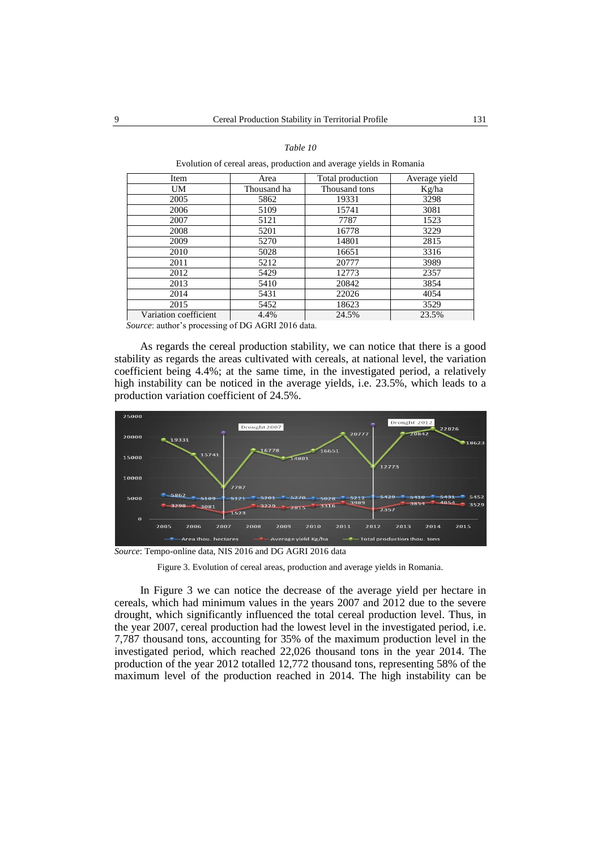### *Table 10*

Evolution of cereal areas, production and average yields in Romania

| Item                  | Area        | Total production | Average yield |
|-----------------------|-------------|------------------|---------------|
| UM                    | Thousand ha | Thousand tons    | Kg/ha         |
| 2005                  | 5862        | 19331            | 3298          |
| 2006                  | 5109        | 15741            | 3081          |
| 2007                  | 5121        | 7787             | 1523          |
| 2008                  | 5201        | 16778            | 3229          |
| 2009                  | 5270        | 14801            | 2815          |
| 2010                  | 5028        | 16651            | 3316          |
| 2011                  | 5212        | 20777            | 3989          |
| 2012                  | 5429        | 12773            | 2357          |
| 2013                  | 5410        | 20842            | 3854          |
| 2014                  | 5431        | 22026            | 4054          |
| 2015                  | 5452        | 18623            | 3529          |
| Variation coefficient | 4.4%        | 24.5%            | 23.5%         |

*Source*: author's processing of DG AGRI 2016 data.

As regards the cereal production stability, we can notice that there is a good stability as regards the areas cultivated with cereals, at national level, the variation coefficient being 4.4%; at the same time, in the investigated period, a relatively high instability can be noticed in the average yields, i.e. 23.5%, which leads to a production variation coefficient of 24.5%.



*Source*: Tempo-online data, NIS 2016 and DG AGRI 2016 data

Figure 3. Evolution of cereal areas, production and average yields in Romania.

In Figure 3 we can notice the decrease of the average yield per hectare in cereals, which had minimum values in the years 2007 and 2012 due to the severe drought, which significantly influenced the total cereal production level. Thus, in the year 2007, cereal production had the lowest level in the investigated period, i.e. 7,787 thousand tons, accounting for 35% of the maximum production level in the investigated period, which reached 22,026 thousand tons in the year 2014. The production of the year 2012 totalled 12,772 thousand tons, representing 58% of the maximum level of the production reached in 2014. The high instability can be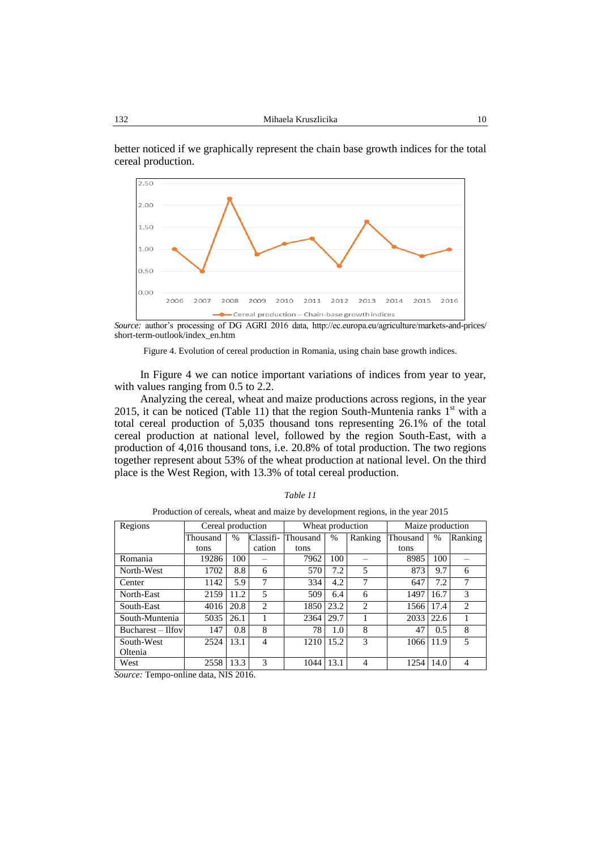better noticed if we graphically represent the chain base growth indices for the total cereal production.



*Source:* author's processing of DG AGRI 2016 data, http://ec.europa.eu/agriculture/markets-and-prices/ short-term-outlook/index\_en.htm

Figure 4. Evolution of cereal production in Romania, using chain base growth indices.

In Figure 4 we can notice important variations of indices from year to year, with values ranging from 0.5 to 2.2.

Analyzing the cereal, wheat and maize productions across regions, in the year 2015, it can be noticed (Table 11) that the region South-Muntenia ranks  $1<sup>st</sup>$  with a total cereal production of 5,035 thousand tons representing 26.1% of the total cereal production at national level, followed by the region South-East, with a production of 4,016 thousand tons, i.e. 20.8% of total production. The two regions together represent about 53% of the wheat production at national level. On the third place is the West Region, with 13.3% of total cereal production.

|  | able |  |  |
|--|------|--|--|
|--|------|--|--|

| Regions           | Cereal production |               |                | Wheat production |               | Maize production |          |               |                |
|-------------------|-------------------|---------------|----------------|------------------|---------------|------------------|----------|---------------|----------------|
|                   | Thousand          | $\frac{0}{0}$ | Classifi-      | Thousand         | $\frac{0}{0}$ | Ranking          | Thousand | $\frac{0}{0}$ | Ranking        |
|                   | tons              |               | cation         | tons             |               |                  | tons     |               |                |
| Romania           | 19286             | 100           |                | 7962             | 100           |                  | 8985     | 100           |                |
| North-West        | 1702              | 8.8           | 6              | 570              | 7.2           | 5                | 873      | 9.7           | 6              |
| Center            | 1142              | 5.9           | 7              | 334              | 4.2           | 7                | 647      | 7.2           | 7              |
| North-East        | 2159              | 11.2          | 5              | 509              | 6.4           | 6                | 1497     | 16.7          | 3              |
| South-East        | 4016              | 20.8          | $\overline{c}$ | 1850             | 23.2          | $\overline{2}$   | 1566     | 17.4          | $\overline{c}$ |
| South-Muntenia    | 5035              | 26.1          |                | 2364             | 29.7          |                  | 2033     | 22.6          |                |
| Bucharest – Ilfov | 147               | 0.8           | 8              | 78               | 1.0           | 8                | 47       | 0.5           | 8              |
| South-West        | 2524              | 13.1          | 4              | 1210             | 15.2          | 3                | 1066     | 11.9          | 5              |
| Oltenia           |                   |               |                |                  |               |                  |          |               |                |
| West              | 2558              | 13.3          | 3              | 1044             | 13.1          | 4                | 1254     | 14.0          | 4              |

Production of cereals, wheat and maize by development regions, in the year 2015

*Source:* Tempo-online data, NIS 2016.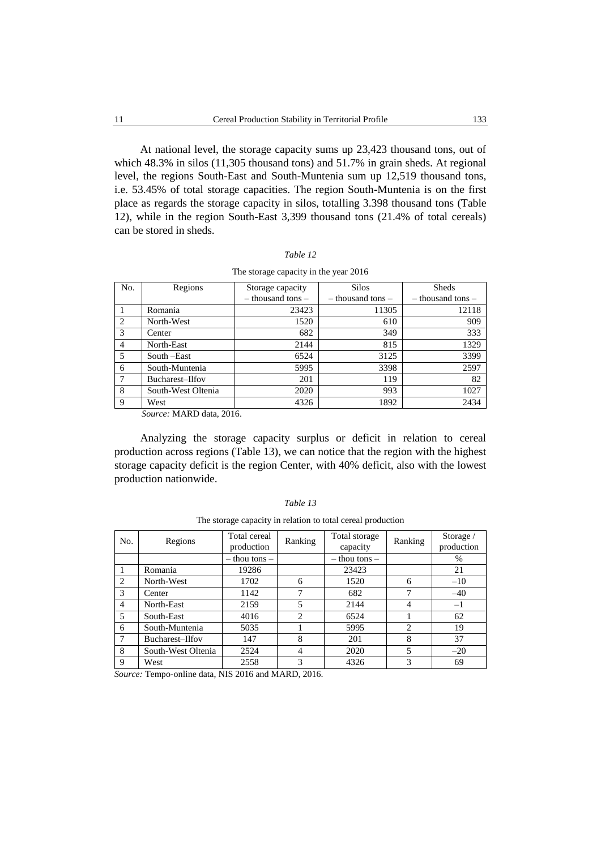At national level, the storage capacity sums up 23,423 thousand tons, out of which 48.3% in silos (11,305 thousand tons) and 51.7% in grain sheds. At regional level, the regions South-East and South-Muntenia sum up 12,519 thousand tons, i.e. 53.45% of total storage capacities. The region South-Muntenia is on the first place as regards the storage capacity in silos, totalling 3.398 thousand tons (Table 12), while in the region South-East 3,399 thousand tons (21.4% of total cereals) can be stored in sheds.

| The storage capacity in the year 2016 |                    |                       |                       |                       |  |  |  |
|---------------------------------------|--------------------|-----------------------|-----------------------|-----------------------|--|--|--|
| No.                                   | Regions            | Storage capacity      | <b>Silos</b>          | <b>Sheds</b>          |  |  |  |
|                                       |                    | $-$ thousand tons $-$ | $-$ thousand tons $-$ | $-$ thousand tons $-$ |  |  |  |
|                                       | Romania            | 23423                 | 11305                 | 12118                 |  |  |  |
| $\overline{c}$                        | North-West         | 1520                  | 610                   | 909                   |  |  |  |
| 3                                     | Center             | 682                   | 349                   | 333                   |  |  |  |
| 4                                     | North-East         | 2144                  | 815                   | 1329                  |  |  |  |
| 5                                     | South –East        | 6524                  | 3125                  | 3399                  |  |  |  |
| 6                                     | South-Muntenia     | 5995                  | 3398                  | 2597                  |  |  |  |
| 7                                     | Bucharest-Ilfov    | 201                   | 119                   | 82                    |  |  |  |
| 8                                     | South-West Oltenia | 2020                  | 993                   | 1027                  |  |  |  |
| 9                                     | West               | 4326                  | 1892                  | 2434                  |  |  |  |

| $\cdot$ able $\cdot$ |  |
|----------------------|--|
|----------------------|--|

*Source:* MARD data, 2016.

Analyzing the storage capacity surplus or deficit in relation to cereal production across regions (Table 13), we can notice that the region with the highest storage capacity deficit is the region Center, with 40% deficit, also with the lowest production nationwide.

| No.            | Regions            | Total cereal<br>production | Ranking        | Total storage<br>capacity | Ranking        | Storage /<br>production |
|----------------|--------------------|----------------------------|----------------|---------------------------|----------------|-------------------------|
|                |                    | $-$ thou tons $-$          |                | $-$ thou tons $-$         |                | $\%$                    |
|                | Romania            | 19286                      |                | 23423                     |                | 21                      |
| 2              | North-West         | 1702                       | 6              | 1520                      | 6              | $-10$                   |
| 3              | Center             | 1142                       |                | 682                       | 7              | $-40$                   |
| $\overline{4}$ | North-East         | 2159                       | 5              | 2144                      | 4              | $-1$                    |
| $\overline{5}$ | South-East         | 4016                       | $\mathfrak{D}$ | 6524                      |                | 62                      |
| 6              | South-Muntenia     | 5035                       |                | 5995                      | $\mathfrak{D}$ | 19                      |
| $\overline{7}$ | Bucharest-Ilfov    | 147                        | 8              | 201                       | 8              | 37                      |
| 8              | South-West Oltenia | 2524                       | 4              | 2020                      | 5              | $-20$                   |
| 9              | West               | 2558                       | 3              | 4326                      | 3              | 69                      |

*Table 13*

| The storage capacity in relation to total cereal production |  |  |  |
|-------------------------------------------------------------|--|--|--|
|                                                             |  |  |  |

*Source:* Tempo-online data, NIS 2016 and MARD, 2016.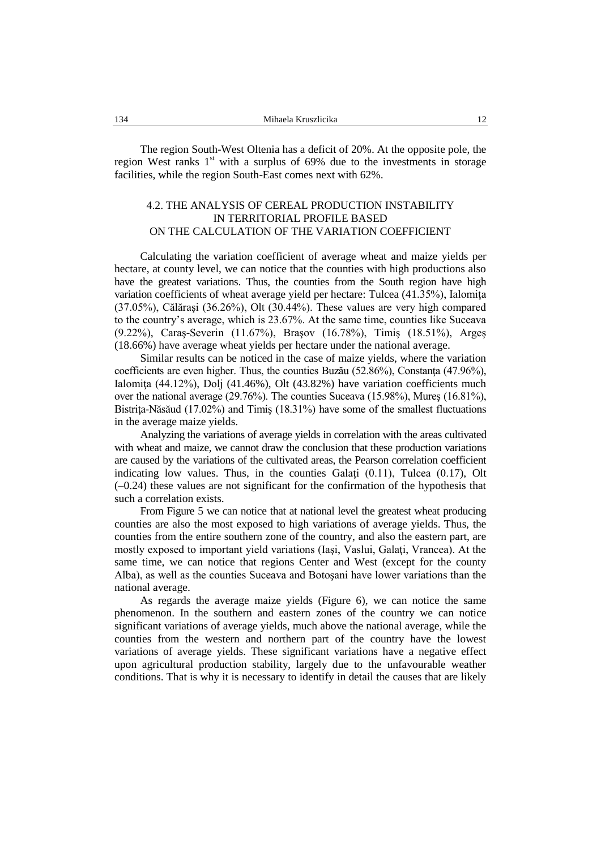The region South-West Oltenia has a deficit of 20%. At the opposite pole, the region West ranks  $1<sup>st</sup>$  with a surplus of 69% due to the investments in storage facilities, while the region South-East comes next with 62%.

## 4.2. THE ANALYSIS OF CEREAL PRODUCTION INSTABILITY IN TERRITORIAL PROFILE BASED ON THE CALCULATION OF THE VARIATION COEFFICIENT

Calculating the variation coefficient of average wheat and maize yields per hectare, at county level, we can notice that the counties with high productions also have the greatest variations. Thus, the counties from the South region have high variation coefficients of wheat average yield per hectare: Tulcea (41.35%), Ialomiţa (37.05%), Călăraşi (36.26%), Olt (30.44%). These values are very high compared to the country's average, which is 23.67%. At the same time, counties like Suceava (9.22%), Caraş-Severin (11.67%), Braşov (16.78%), Timiş (18.51%), Argeş (18.66%) have average wheat yields per hectare under the national average.

Similar results can be noticed in the case of maize yields, where the variation coefficients are even higher. Thus, the counties Buzău  $(52.86\%)$ , Constanta  $(47.96\%)$ , Ialomiţa (44.12%), Dolj (41.46%), Olt (43.82%) have variation coefficients much over the national average (29.76%). The counties Suceava (15.98%), Mureş (16.81%), Bistriţa-Năsăud (17.02%) and Timiş (18.31%) have some of the smallest fluctuations in the average maize yields.

Analyzing the variations of average yields in correlation with the areas cultivated with wheat and maize, we cannot draw the conclusion that these production variations are caused by the variations of the cultivated areas, the Pearson correlation coefficient indicating low values. Thus, in the counties Galati (0.11), Tulcea (0.17), Olt (–0.24) these values are not significant for the confirmation of the hypothesis that such a correlation exists.

From Figure 5 we can notice that at national level the greatest wheat producing counties are also the most exposed to high variations of average yields. Thus, the counties from the entire southern zone of the country, and also the eastern part, are mostly exposed to important yield variations (Iaşi, Vaslui, Galaţi, Vrancea). At the same time, we can notice that regions Center and West (except for the county Alba), as well as the counties Suceava and Botoşani have lower variations than the national average.

As regards the average maize yields (Figure 6), we can notice the same phenomenon. In the southern and eastern zones of the country we can notice significant variations of average yields, much above the national average, while the counties from the western and northern part of the country have the lowest variations of average yields. These significant variations have a negative effect upon agricultural production stability, largely due to the unfavourable weather conditions. That is why it is necessary to identify in detail the causes that are likely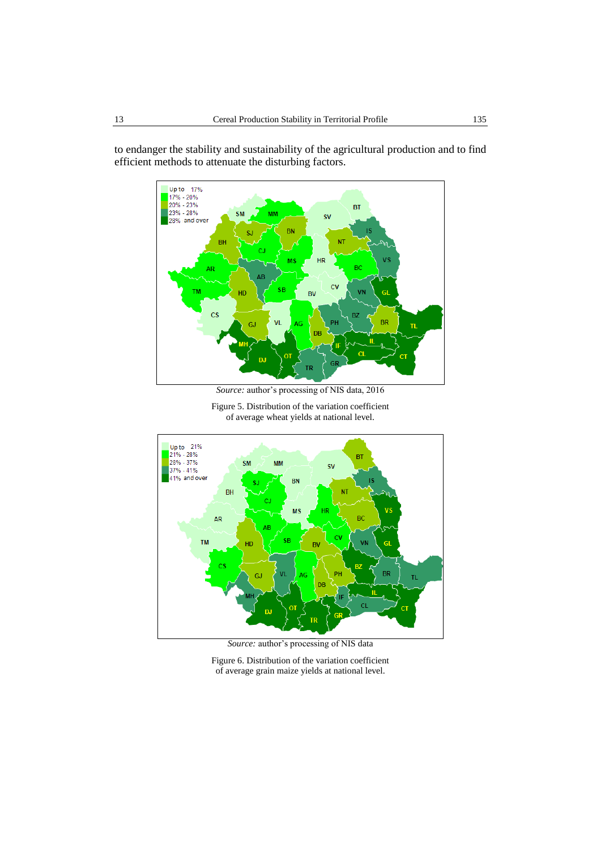

to endanger the stability and sustainability of the agricultural production and to find efficient methods to attenuate the disturbing factors.

*Source:* author's processing of NIS data, 2016

Figure 5. Distribution of the variation coefficient of average wheat yields at national level.



*Source:* author's processing of NIS data

Figure 6. Distribution of the variation coefficient of average grain maize yields at national level.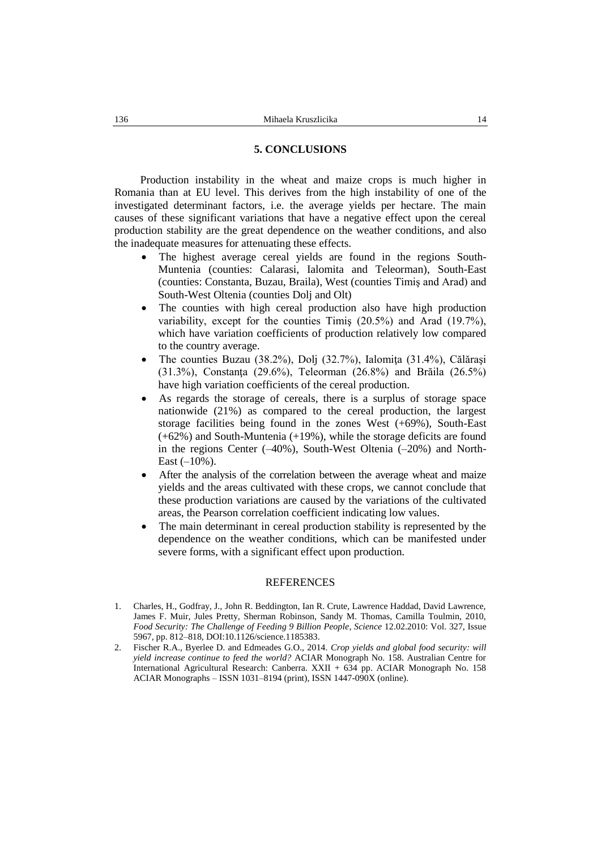### **5. CONCLUSIONS**

Production instability in the wheat and maize crops is much higher in Romania than at EU level. This derives from the high instability of one of the investigated determinant factors, i.e. the average yields per hectare. The main causes of these significant variations that have a negative effect upon the cereal production stability are the great dependence on the weather conditions, and also the inadequate measures for attenuating these effects.

- The highest average cereal yields are found in the regions South-Muntenia (counties: Calarasi, Ialomita and Teleorman), South-East (counties: Constanta, Buzau, Braila), West (counties Timiş and Arad) and South-West Oltenia (counties Dolj and Olt)
- The counties with high cereal production also have high production variability, except for the counties Timiş (20.5%) and Arad (19.7%), which have variation coefficients of production relatively low compared to the country average.
- The counties Buzau (38.2%), Dolj (32.7%), Ialomita (31.4%), Călărași (31.3%), Constanţa (29.6%), Teleorman (26.8%) and Brăila (26.5%) have high variation coefficients of the cereal production.
- As regards the storage of cereals, there is a surplus of storage space nationwide (21%) as compared to the cereal production, the largest storage facilities being found in the zones West (+69%), South-East (+62%) and South-Muntenia (+19%), while the storage deficits are found in the regions Center  $(-40\%)$ , South-West Oltenia  $(-20\%)$  and North-East  $(-10\%)$ .
- After the analysis of the correlation between the average wheat and maize yields and the areas cultivated with these crops, we cannot conclude that these production variations are caused by the variations of the cultivated areas, the Pearson correlation coefficient indicating low values.
- The main determinant in cereal production stability is represented by the dependence on the weather conditions, which can be manifested under severe forms, with a significant effect upon production.

### REFERENCES

- 1. Charles, H., Godfray, J., John R. Beddington, Ian R. Crute, Lawrence Haddad, David Lawrence, James F. Muir, Jules Pretty, Sherman Robinson, Sandy M. Thomas, Camilla Toulmin, 2010, *Food Security: The Challenge of Feeding 9 Billion People*, *Science* 12.02.2010: Vol. 327, Issue 5967, pp. 812–818, DOI:10.1126/science.1185383.
- 2. Fischer R.A., Byerlee D. and Edmeades G.O., 2014. *Crop yields and global food security: will yield increase continue to feed the world?* ACIAR Monograph No. 158. Australian Centre for International Agricultural Research: Canberra. XXII + 634 pp. ACIAR Monograph No. 158 ACIAR Monographs – ISSN 1031–8194 (print), ISSN 1447-090X (online).